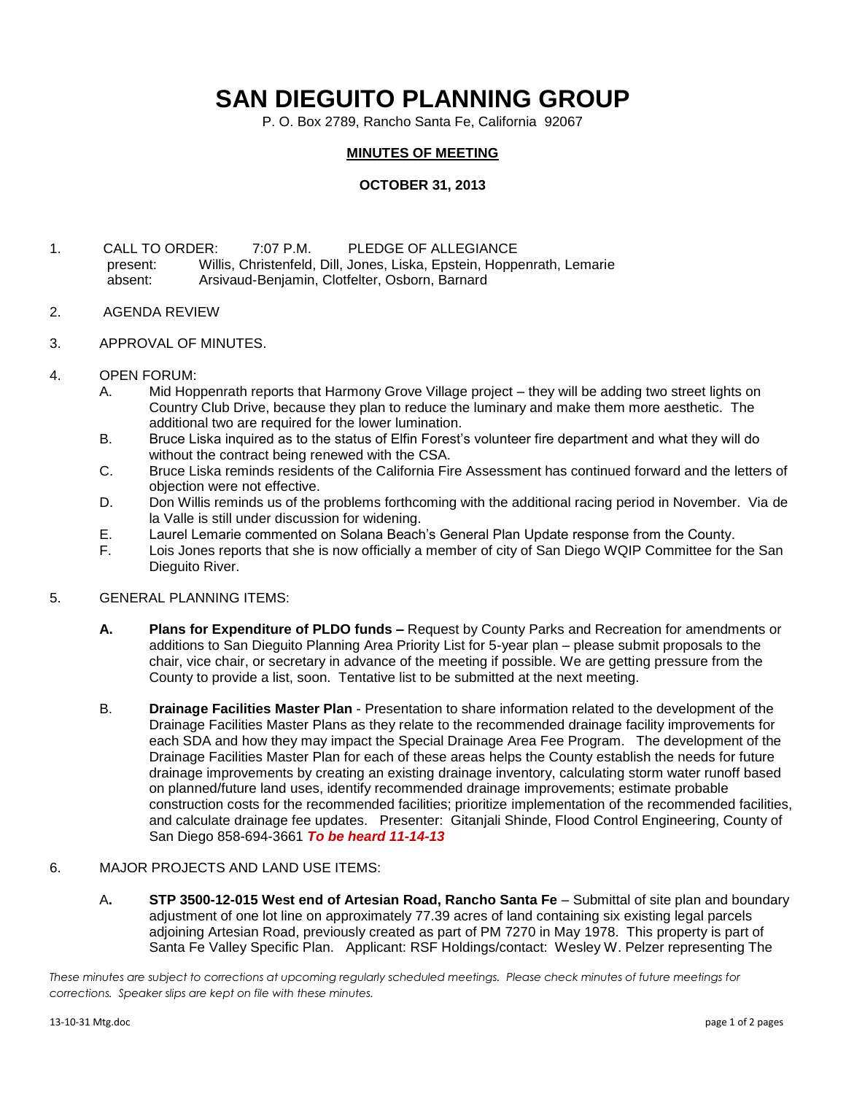## **SAN DIEGUITO PLANNING GROUP**

P. O. Box 2789, Rancho Santa Fe, California 92067

## **MINUTES OF MEETING**

## **OCTOBER 31, 2013**

- 1. CALL TO ORDER: 7:07 P.M. PLEDGE OF ALLEGIANCE present: Willis, Christenfeld, Dill, Jones, Liska, Epstein, Hoppenrath, Lemarie absent: Arsivaud-Benjamin, Clotfelter, Osborn, Barnard
- 2. AGENDA REVIEW
- 3. APPROVAL OF MINUTES.
- 4. OPEN FORUM:
	- A. Mid Hoppenrath reports that Harmony Grove Village project they will be adding two street lights on Country Club Drive, because they plan to reduce the luminary and make them more aesthetic. The additional two are required for the lower lumination.
	- B. Bruce Liska inquired as to the status of Elfin Forest's volunteer fire department and what they will do without the contract being renewed with the CSA.
	- C. Bruce Liska reminds residents of the California Fire Assessment has continued forward and the letters of objection were not effective.
	- D. Don Willis reminds us of the problems forthcoming with the additional racing period in November. Via de la Valle is still under discussion for widening.
	- E. Laurel Lemarie commented on Solana Beach's General Plan Update response from the County.
	- F. Lois Jones reports that she is now officially a member of city of San Diego WQIP Committee for the San Dieguito River.
- 5. GENERAL PLANNING ITEMS:
	- **A. Plans for Expenditure of PLDO funds –** Request by County Parks and Recreation for amendments or additions to San Dieguito Planning Area Priority List for 5-year plan – please submit proposals to the chair, vice chair, or secretary in advance of the meeting if possible. We are getting pressure from the County to provide a list, soon. Tentative list to be submitted at the next meeting.
	- B. **Drainage Facilities Master Plan** Presentation to share information related to the development of the Drainage Facilities Master Plans as they relate to the recommended drainage facility improvements for each SDA and how they may impact the Special Drainage Area Fee Program. The development of the Drainage Facilities Master Plan for each of these areas helps the County establish the needs for future drainage improvements by creating an existing drainage inventory, calculating storm water runoff based on planned/future land uses, identify recommended drainage improvements; estimate probable construction costs for the recommended facilities; prioritize implementation of the recommended facilities, and calculate drainage fee updates. Presenter: Gitanjali Shinde, Flood Control Engineering, County of San Diego 858-694-3661 *To be heard 11-14-13*
- 6. MAJOR PROJECTS AND LAND USE ITEMS:
	- A**. STP 3500-12-015 West end of Artesian Road, Rancho Santa Fe** Submittal of site plan and boundary adjustment of one lot line on approximately 77.39 acres of land containing six existing legal parcels adjoining Artesian Road, previously created as part of PM 7270 in May 1978. This property is part of Santa Fe Valley Specific Plan.Applicant: RSF Holdings/contact: Wesley W. Pelzer representing The

*These minutes are subject to corrections at upcoming regularly scheduled meetings. Please check minutes of future meetings for corrections. Speaker slips are kept on file with these minutes.*